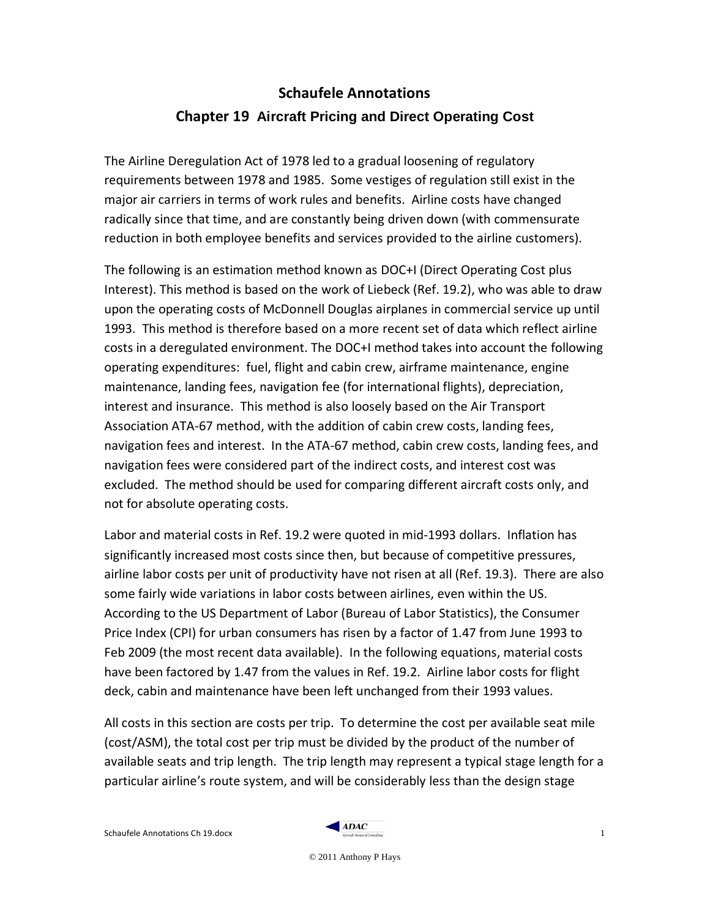# **Schaufele Annotations Chapter 19 Aircraft Pricing and Direct Operating Cost**

The Airline Deregulation Act of 1978 led to a gradual loosening of regulatory requirements between 1978 and 1985. Some vestiges of regulation still exist in the major air carriers in terms of work rules and benefits. Airline costs have changed radically since that time, and are constantly being driven down (with commensurate reduction in both employee benefits and services provided to the airline customers).

The following is an estimation method known as DOC+I (Direct Operating Cost plus Interest). This method is based on the work of Liebeck (Ref. 19.2), who was able to draw upon the operating costs of McDonnell Douglas airplanes in commercial service up until 1993. This method is therefore based on a more recent set of data which reflect airline costs in a deregulated environment. The DOC+I method takes into account the following operating expenditures: fuel, flight and cabin crew, airframe maintenance, engine maintenance, landing fees, navigation fee (for international flights), depreciation, interest and insurance. This method is also loosely based on the Air Transport Association ATA-67 method, with the addition of cabin crew costs, landing fees, navigation fees and interest. In the ATA-67 method, cabin crew costs, landing fees, and navigation fees were considered part of the indirect costs, and interest cost was excluded. The method should be used for comparing different aircraft costs only, and not for absolute operating costs.

Labor and material costs in Ref. 19.2 were quoted in mid-1993 dollars. Inflation has significantly increased most costs since then, but because of competitive pressures, airline labor costs per unit of productivity have not risen at all (Ref. 19.3). There are also some fairly wide variations in labor costs between airlines, even within the US. According to the US Department of Labor (Bureau of Labor Statistics), the Consumer Price Index (CPI) for urban consumers has risen by a factor of 1.47 from June 1993 to Feb 2009 (the most recent data available). In the following equations, material costs have been factored by 1.47 from the values in Ref. 19.2. Airline labor costs for flight deck, cabin and maintenance have been left unchanged from their 1993 values.

All costs in this section are costs per trip. To determine the cost per available seat mile (cost/ASM), the total cost per trip must be divided by the product of the number of available seats and trip length. The trip length may represent a typical stage length for a particular airline's route system, and will be considerably less than the design stage

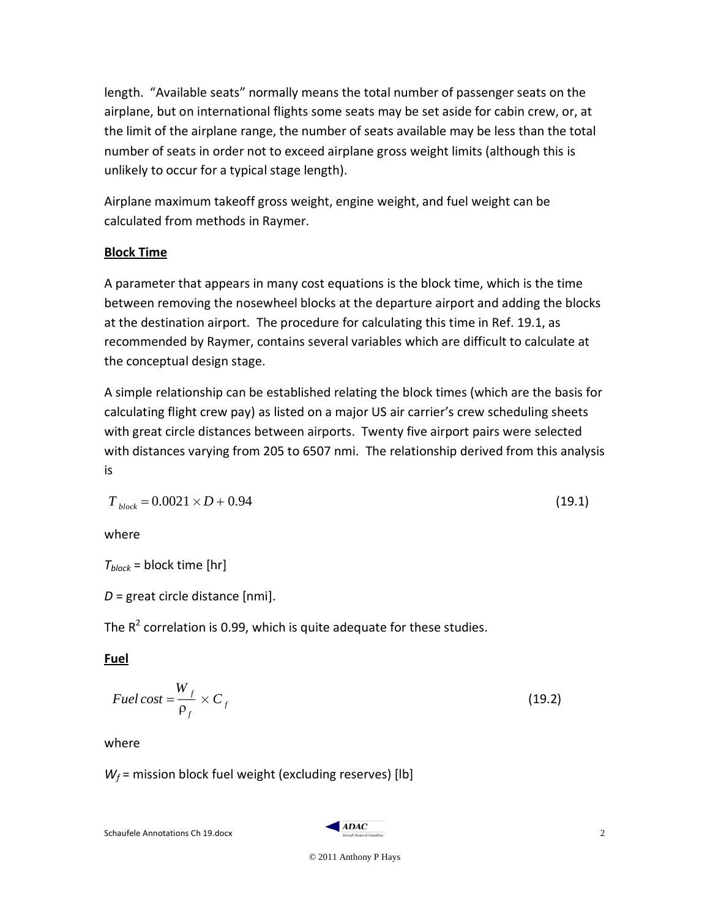length. "Available seats" normally means the total number of passenger seats on the airplane, but on international flights some seats may be set aside for cabin crew, or, at the limit of the airplane range, the number of seats available may be less than the total number of seats in order not to exceed airplane gross weight limits (although this is unlikely to occur for a typical stage length).

Airplane maximum takeoff gross weight, engine weight, and fuel weight can be calculated from methods in Raymer.

# **Block Time**

A parameter that appears in many cost equations is the block time, which is the time between removing the nosewheel blocks at the departure airport and adding the blocks at the destination airport. The procedure for calculating this time in Ref. 19.1, as recommended by Raymer, contains several variables which are difficult to calculate at the conceptual design stage.

A simple relationship can be established relating the block times (which are the basis for calculating flight crew pay) as listed on a major US air carrier's crew scheduling sheets with great circle distances between airports. Twenty five airport pairs were selected with distances varying from 205 to 6507 nmi. The relationship derived from this analysis is

$$
T_{block} = 0.0021 \times D + 0.94 \tag{19.1}
$$

where

 $T_{block}$  = block time [hr]

*D* = great circle distance [nmi].

The  $R^2$  correlation is 0.99, which is quite adequate for these studies.

# **Fuel**

$$
Fuel \cos t = \frac{W_f}{\rho_f} \times C_f \tag{19.2}
$$

where

 $W_f$  = mission block fuel weight (excluding reserves) [lb]

 $Schautelle$  Annotations Ch 19.docx  $\overbrace{2}$ 



© 2011 Anthony P Hays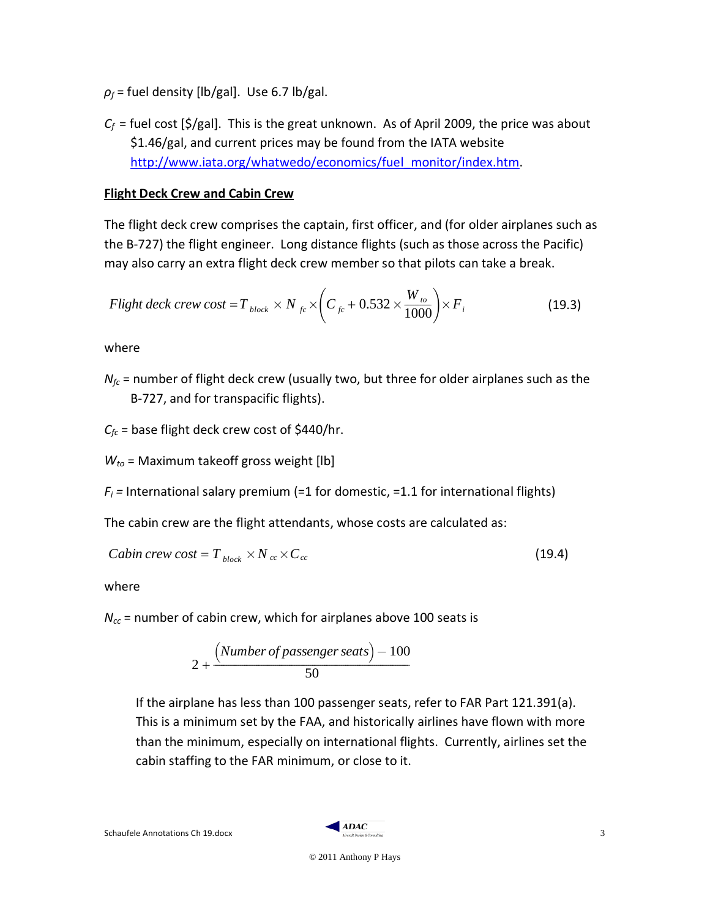- $\rho_f$  = fuel density [lb/gal]. Use 6.7 lb/gal.
- $C_f$  = fuel cost [\$/gal]. This is the great unknown. As of April 2009, the price was about \$1.46/gal, and current prices may be found from the IATA website [http://www.iata.org/whatwedo/economics/fuel\\_monitor/index.htm.](http://www.iata.org/whatwedo/economics/fuel_monitor/index.htm)

# **Flight Deck Crew and Cabin Crew**

The flight deck crew comprises the captain, first officer, and (for older airplanes such as the B-727) the flight engineer. Long distance flights (such as those across the Pacific) may also carry an extra flight deck crew member so that pilots can take a break.

$$
Flight deck crew cost = T_{block} \times N_{fc} \times \left(C_{fc} + 0.532 \times \frac{W_{to}}{1000}\right) \times F_i
$$
\n(19.3)

where

 $N_{fc}$  = number of flight deck crew (usually two, but three for older airplanes such as the B-727, and for transpacific flights).

 $C_{fc}$  = base flight deck crew cost of \$440/hr.

*Wto* = Maximum takeoff gross weight [lb]

 $F_i$  = International salary premium (=1 for domestic, =1.1 for international flights)

The cabin crew are the flight attendants, whose costs are calculated as:

Cabin crew cost = 
$$
T_{block} \times N_{cc} \times C_{cc}
$$
 (19.4)

where

*Ncc* = number of cabin crew, which for airplanes above 100 seats is

$$
2 + \frac{(Number of passenger seats) - 100}{50}
$$

If the airplane has less than 100 passenger seats, refer to FAR Part 121.391(a). This is a minimum set by the FAA, and historically airlines have flown with more than the minimum, especially on international flights. Currently, airlines set the cabin staffing to the FAR minimum, or close to it.

 $Schautelle$  Annotations Ch 19.docx  $\overline{3}$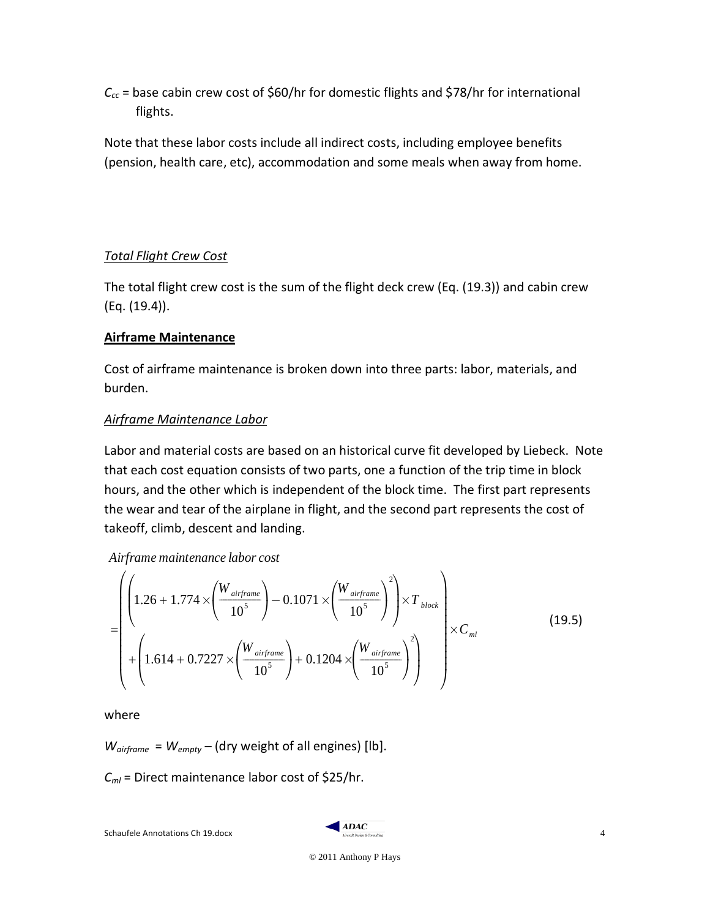$C_{cc}$  = base cabin crew cost of \$60/hr for domestic flights and \$78/hr for international flights.

Note that these labor costs include all indirect costs, including employee benefits (pension, health care, etc), accommodation and some meals when away from home.

# *Total Flight Crew Cost*

The total flight crew cost is the sum of the flight deck crew (Eq. (19.3)) and cabin crew (Eq. (19.4)).

# **Airframe Maintenance**

Cost of airframe maintenance is broken down into three parts: labor, materials, and burden.

# *Airframe Maintenance Labor*

Labor and material costs are based on an historical curve fit developed by Liebeck. Note that each cost equation consists of two parts, one a function of the trip time in block hours, and the other which is independent of the block time. The first part represents the wear and tear of the airplane in flight, and the second part represents the cost of takeoff, climb, descent and landing.

*Airframe maintenance labor cost*

$$
= \left(\left(1.26 + 1.774 \times \left(\frac{W_{airframe}}{10^5}\right) - 0.1071 \times \left(\frac{W_{airframe}}{10^5}\right)^2\right) \times T_{block} + \left(1.614 + 0.7227 \times \left(\frac{W_{airframe}}{10^5}\right) + 0.1204 \times \left(\frac{W_{airframe}}{10^5}\right)^2\right)\right) \times C_{ml}
$$
\n(19.5)

where

*Wairframe* = *Wempty* – (dry weight of all engines) [lb].

*Cml* = Direct maintenance labor cost of \$25/hr.

 $Schautelle$  Annotations Ch 19.docx  $4 \frac{ADAC}{4}$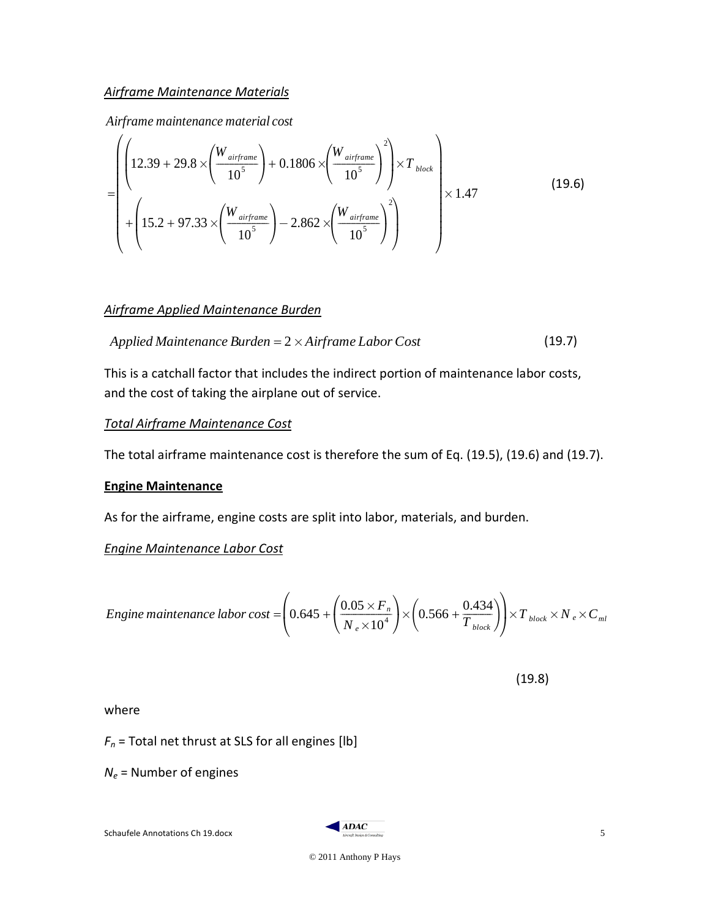### *Airframe Maintenance Materials*

*Airframe maintenance material cost*

$$
= \left(\left(12.39 + 29.8 \times \left(\frac{W_{airframe}}{10^5}\right) + 0.1806 \times \left(\frac{W_{airframe}}{10^5}\right)^2\right) \times T_{block}\right) \times T_{block}\n+\left(15.2 + 97.33 \times \left(\frac{W_{airframe}}{10^5}\right) - 2.862 \times \left(\frac{W_{airframe}}{10^5}\right)^2\right)\n\right) \times 1.47
$$
\n(19.6)

### *Airframe Applied Maintenance Burden*

*Applied Maintenance Burden* = 
$$
2 \times Airframe Labor Cost
$$
 (19.7)

This is a catchall factor that includes the indirect portion of maintenance labor costs, and the cost of taking the airplane out of service.

### *Total Airframe Maintenance Cost*

The total airframe maintenance cost is therefore the sum of Eq. (19.5), (19.6) and (19.7).

#### **Engine Maintenance**

As for the airframe, engine costs are split into labor, materials, and burden.

*Engine Maintenance Labor Cost*

$$
Engineering maintenance labor cost = \left(0.645 + \left(\frac{0.05 \times F_n}{N_e \times 10^4}\right) \times \left(0.566 + \frac{0.434}{T_{block}}\right)\right) \times T_{block} \times N_e \times C_{ml}
$$

 $(19.8)$ 

where

 $F_n$  = Total net thrust at SLS for all engines [lb]

*Ne* = Number of engines

 $S$ chaufele Annotations Ch 19.docx  $\overline{S}$ 

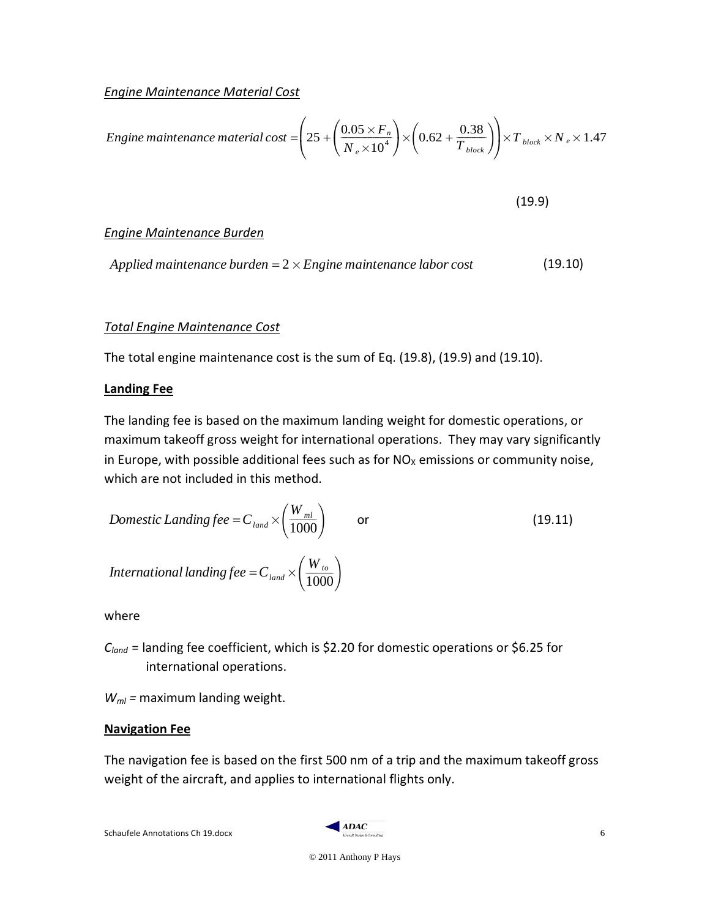*Engine Maintenance Material Cost*

$$
Engineering maintenance material cost = \left(25 + \left(\frac{0.05 \times F_n}{N_e \times 10^4}\right) \times \left(0.62 + \frac{0.38}{T_{block}}\right)\right) \times T_{block} \times N_e \times 1.47
$$

 $(19.9)$ 

# *Engine Maintenance Burden*

Applied maintenance burden =  $2 \times$  *Engine maintenance labor cost* (19.10)

### *Total Engine Maintenance Cost*

The total engine maintenance cost is the sum of Eq. (19.8), (19.9) and (19.10).

### **Landing Fee**

The landing fee is based on the maximum landing weight for domestic operations, or maximum takeoff gross weight for international operations. They may vary significantly in Europe, with possible additional fees such as for  $NO<sub>x</sub>$  emissions or community noise, which are not included in this method.

*Domestic Landing fee = C<sub>land</sub> × 
$$
\left(\frac{W_{ml}}{1000}\right)
$$
 or (19.11)  
*International landing fee = C<sub>land</sub> ×  $\left(\frac{W_{to}}{1000}\right)$** 

where

*Cland* = landing fee coefficient, which is \$2.20 for domestic operations or \$6.25 for international operations.

*Wml =* maximum landing weight.

### **Navigation Fee**

The navigation fee is based on the first 500 nm of a trip and the maximum takeoff gross weight of the aircraft, and applies to international flights only.

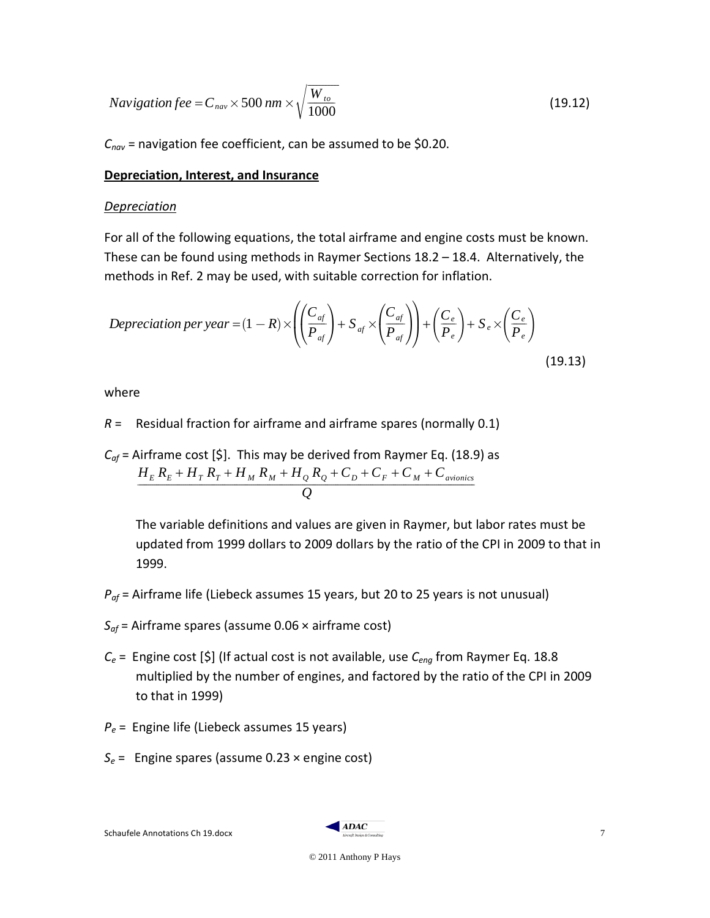$$
Navigation fee = C_{nav} \times 500 \, nm \times \sqrt{\frac{W_{to}}{1000}}
$$
\n(19.12)

*Cnav* = navigation fee coefficient, can be assumed to be \$0.20.

### **Depreciation, Interest, and Insurance**

#### *Depreciation*

For all of the following equations, the total airframe and engine costs must be known. These can be found using methods in Raymer Sections 18.2 – 18.4. Alternatively, the methods in Ref. 2 may be used, with suitable correction for inflation.

$$
Depreciation per year = (1 - R) \times \left( \left( \frac{C_{af}}{P_{af}} \right) + S_{af} \times \left( \frac{C_{af}}{P_{af}} \right) \right) + \left( \frac{C_e}{P_e} \right) + S_e \times \left( \frac{C_e}{P_e} \right)
$$
\n(19.13)

where

*R* = Residual fraction for airframe and airframe spares (normally 0.1)

$$
C_{of}
$$
 = Airframe cost [\$]. This may be derived from Raymer Eq. (18.9) as  

$$
\frac{H_E R_E + H_T R_T + H_M R_M + H_Q R_Q + C_D + C_F + C_M + C_{avionics}}{Q}
$$

The variable definitions and values are given in Raymer, but labor rates must be updated from 1999 dollars to 2009 dollars by the ratio of the CPI in 2009 to that in 1999.

- *Paf* = Airframe life (Liebeck assumes 15 years, but 20 to 25 years is not unusual)
- *Saf* = Airframe spares (assume 0.06 × airframe cost)
- *Ce* = Engine cost [\$] (If actual cost is not available, use *Ceng* from Raymer Eq. 18.8 multiplied by the number of engines, and factored by the ratio of the CPI in 2009 to that in 1999)
- *Pe* = Engine life (Liebeck assumes 15 years)
- *Se* = Engine spares (assume 0.23 × engine cost)

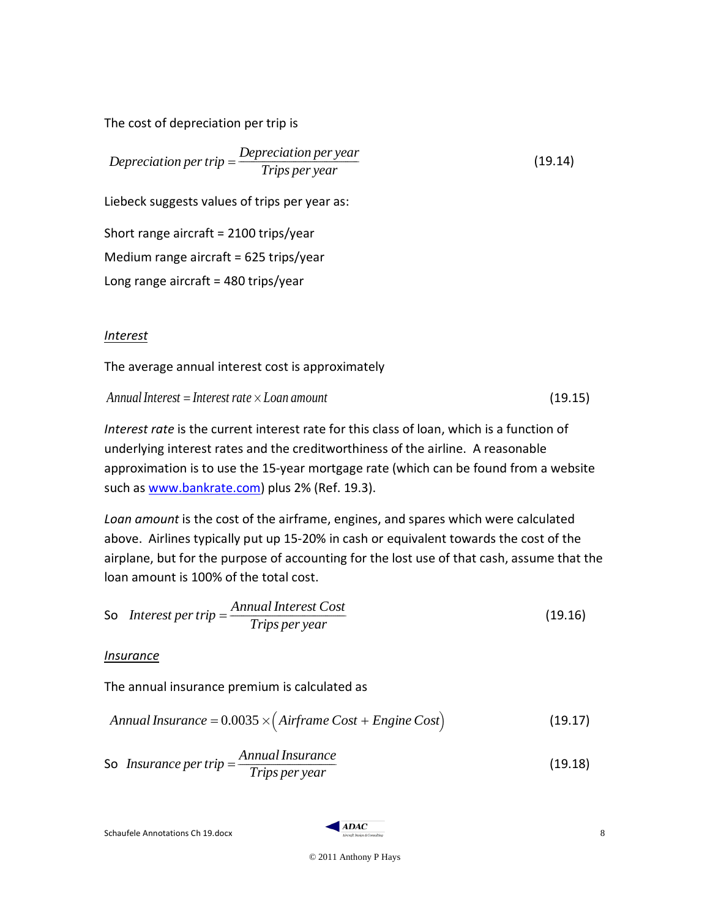The cost of depreciation per trip is

*Depreciation per trip* =  $\frac{Depreciation\,per\,year}{Tips\,per\,year}$  (19.14)

Liebeck suggests values of trips per year as:

Short range aircraft = 2100 trips/year Medium range aircraft = 625 trips/year Long range aircraft =  $480$  trips/year

# *Interest*

The average annual interest cost is approximately

 $\Delta$ *Annual Interest* = *Interest rate*  $\times$  *Loan amount* (19.15)

*Interest rate* is the current interest rate for this class of loan, which is a function of underlying interest rates and the creditworthiness of the airline. A reasonable approximation is to use the 15-year mortgage rate (which can be found from a website such as [www.bankrate.com\)](http://www.bankrate.com/) plus 2% (Ref. 19.3).

Loan amount is the cost of the airframe, engines, and spares which were calculated above. Airlines typically put up 15-20% in cash or equivalent towards the cost of the airplane, but for the purpose of accounting for the lost use of that cash, assume that the loan amount is 100% of the total cost.

So Interest per trip = 
$$
\frac{Annual Interest Cost}{Trips per year}
$$
 (19.16)

*Insurance*

The annual insurance premium is calculated as

$$
Annual Insurance = 0.0035 \times (Airframe Cost + Engine Cost)
$$
\n(19.17)

So *Insurance per trip* = 
$$
\frac{Annual Insurance}{Trips per year}
$$
 (19.18)

 $Schautelle$  Annotations Ch 19.docx  $\overline{S}$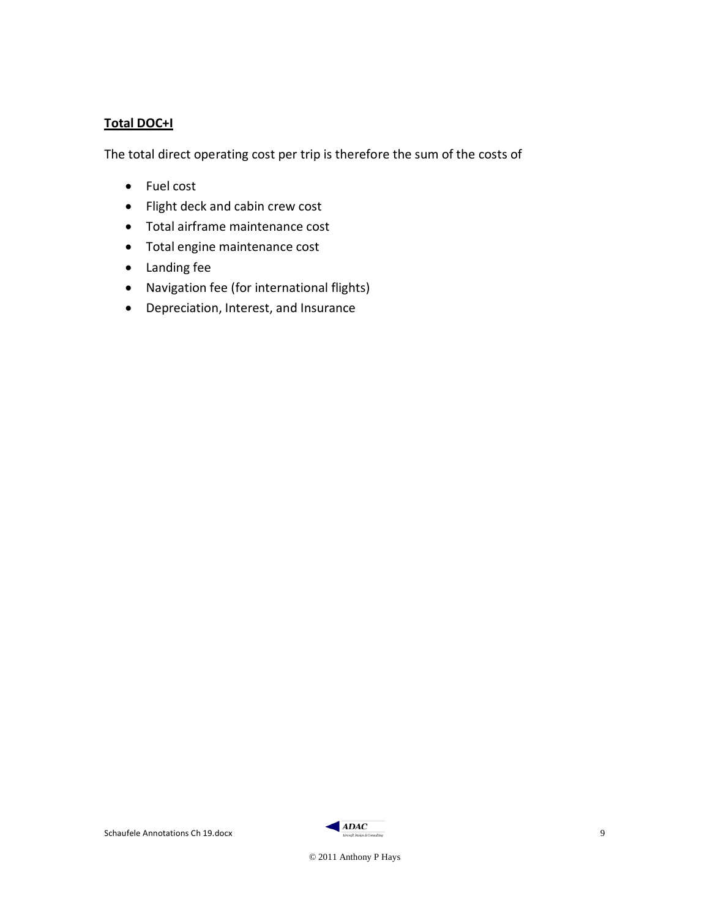# **Total DOC+I**

The total direct operating cost per trip is therefore the sum of the costs of

- Fuel cost
- Flight deck and cabin crew cost
- Total airframe maintenance cost
- Total engine maintenance cost
- Landing fee
- Navigation fee (for international flights)
- Depreciation, Interest, and Insurance